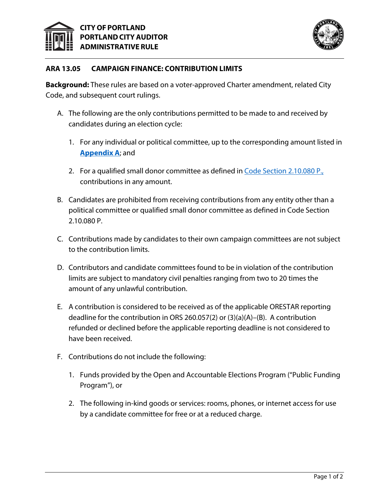



## **ARA 13.05 CAMPAIGN FINANCE: CONTRIBUTION LIMITS**

**Background:** These rules are based on a voter-approved Charter amendment, related City Code, and subsequent court rulings.

- A. The following are the only contributions permitted to be made to and received by candidates during an election cycle:
	- 1. For any individual or political committee, up to the corresponding amount listed in **[Appendix A](https://www.portland.gov/sites/default/files/2021/ara-appendix-a.pdf)**; and
	- 2. For a qualified small donor committee as defined in [Code Section 2.10.080 P.,](https://www.portland.gov/code/2/10#toc--2-10-080-definitions-) contributions in any amount.
- B. Candidates are prohibited from receiving contributions from any entity other than a political committee or qualified small donor committee as defined in Code Section 2.10.080 P.
- C. Contributions made by candidates to their own campaign committees are not subject to the contribution limits.
- D. Contributors and candidate committees found to be in violation of the contribution limits are subject to mandatory civil penalties ranging from two to 20 times the amount of any unlawful contribution.
- E. A contribution is considered to be received as of the applicable ORESTAR reporting deadline for the contribution in ORS 260.057(2) or (3)(a)(A)–(B). A contribution refunded or declined before the applicable reporting deadline is not considered to have been received.
- F. Contributions do not include the following:
	- 1. Funds provided by the Open and Accountable Elections Program ("Public Funding Program"), or
	- 2. The following in-kind goods or services: rooms, phones, or internet access for use by a candidate committee for free or at a reduced charge.